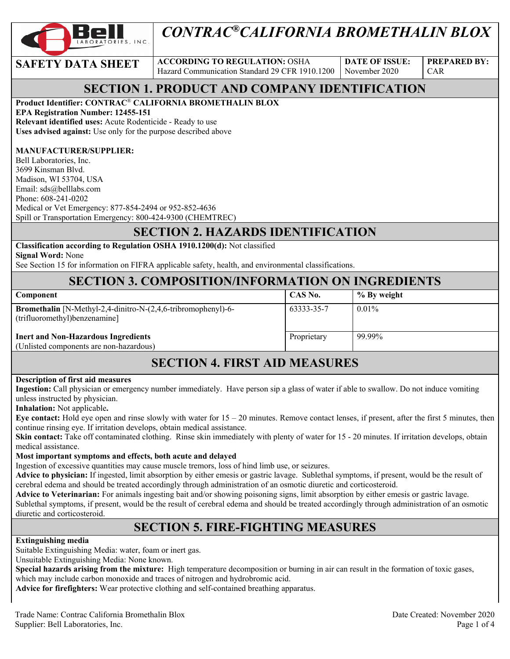

# *CONTRAC®CALIFORNIA BROMETHALIN BLOX*

**SAFETY DATA SHEET** ACCORDING TO REGULATION: OSHA Hazard Communication Standard 29 CFR 1910.1200

**DATE OF ISSUE:**  November 2020

**PREPARED BY:**  CAR

### **SECTION 1. PRODUCT AND COMPANY IDENTIFICATION**

#### **Product Identifier: CONTRAC**® **CALIFORNIA BROMETHALIN BLOX**

**EPA Registration Number: 12455-151 Relevant identified uses:** Acute Rodenticide - Ready to use **Uses advised against:** Use only for the purpose described above

#### **MANUFACTURER/SUPPLIER:**

Bell Laboratories, Inc. 3699 Kinsman Blvd. Madison, WI 53704, USA Email: sds@belllabs.com Phone: 608-241-0202 Medical or Vet Emergency: 877-854-2494 or 952-852-4636 Spill or Transportation Emergency: 800-424-9300 (CHEMTREC)

#### **SECTION 2. HAZARDS IDENTIFICATION**

#### **Classification according to Regulation OSHA 1910.1200(d):** Not classified

**Signal Word:** None

See Section 15 for information on FIFRA applicable safety, health, and environmental classifications.

#### **SECTION 3. COMPOSITION/INFORMATION ON INGREDIENTS**

| <b>Component</b>                                                                                      | CAS No.     | % By weight |
|-------------------------------------------------------------------------------------------------------|-------------|-------------|
| <b>Bromethalin</b> [N-Methyl-2,4-dinitro-N-(2,4,6-tribromophenyl)-6-<br>(trifluoromethyl)benzenamine] | 63333-35-7  | $0.01\%$    |
| <b>Inert and Non-Hazardous Ingredients</b><br>(Unlisted components are non-hazardous)                 | Proprietary | 99.99%      |

#### **SECTION 4. FIRST AID MEASURES**

#### **Description of first aid measures**

**Ingestion:** Call physician or emergency number immediately. Have person sip a glass of water if able to swallow. Do not induce vomiting unless instructed by physician.

**Inhalation:** Not applicable**.** 

**Eye contact:** Hold eye open and rinse slowly with water for  $15 - 20$  minutes. Remove contact lenses, if present, after the first 5 minutes, then continue rinsing eye. If irritation develops, obtain medical assistance.

Skin contact: Take off contaminated clothing. Rinse skin immediately with plenty of water for 15 - 20 minutes. If irritation develops, obtain medical assistance.

#### **Most important symptoms and effects, both acute and delayed**

Ingestion of excessive quantities may cause muscle tremors, loss of hind limb use, or seizures.

**Advice to physician:** If ingested, limit absorption by either emesis or gastric lavage. Sublethal symptoms, if present, would be the result of cerebral edema and should be treated accordingly through administration of an osmotic diuretic and corticosteroid.

**Advice to Veterinarian:** For animals ingesting bait and/or showing poisoning signs, limit absorption by either emesis or gastric lavage. Sublethal symptoms, if present, would be the result of cerebral edema and should be treated accordingly through administration of an osmotic diuretic and corticosteroid.

#### **SECTION 5. FIRE-FIGHTING MEASURES**

#### **Extinguishing media**

Suitable Extinguishing Media: water, foam or inert gas.

Unsuitable Extinguishing Media: None known.

**Special hazards arising from the mixture:** High temperature decomposition or burning in air can result in the formation of toxic gases, which may include carbon monoxide and traces of nitrogen and hydrobromic acid.

**Advice for firefighters:** Wear protective clothing and self-contained breathing apparatus.

Trade Name: Contrac California Bromethalin Blox Date Created: November 2020 Supplier: Bell Laboratories, Inc. 2008. The state of the state of the state of the state of the state of the state of the state of the state of the state of the state of the state of the state of the state of the state of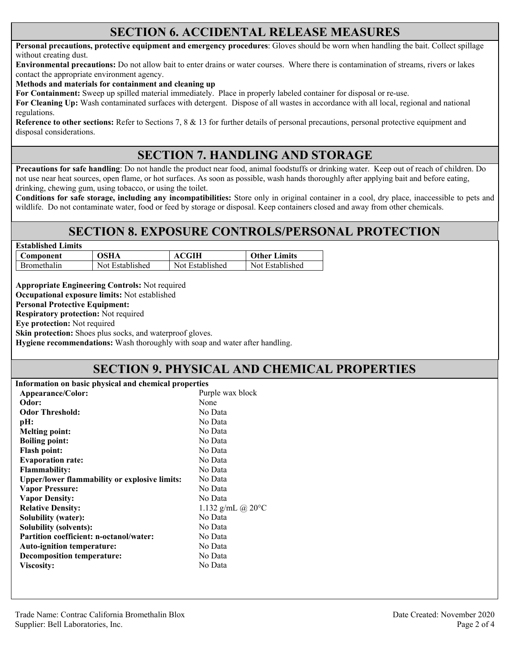#### **SECTION 6. ACCIDENTAL RELEASE MEASURES**

**Personal precautions, protective equipment and emergency procedures**: Gloves should be worn when handling the bait. Collect spillage without creating dust.

**Environmental precautions:** Do not allow bait to enter drains or water courses. Where there is contamination of streams, rivers or lakes contact the appropriate environment agency.

**Methods and materials for containment and cleaning up**

**For Containment:** Sweep up spilled material immediately. Place in properly labeled container for disposal or re-use.

**For Cleaning Up:** Wash contaminated surfaces with detergent. Dispose of all wastes in accordance with all local, regional and national regulations.

**Reference to other sections:** Refer to Sections 7, 8 & 13 for further details of personal precautions, personal protective equipment and disposal considerations.

### **SECTION 7. HANDLING AND STORAGE**

**Precautions for safe handling**: Do not handle the product near food, animal foodstuffs or drinking water. Keep out of reach of children. Do not use near heat sources, open flame, or hot surfaces. As soon as possible, wash hands thoroughly after applying bait and before eating, drinking, chewing gum, using tobacco, or using the toilet.

**Conditions for safe storage, including any incompatibilities:** Store only in original container in a cool, dry place, inaccessible to pets and wildlife. Do not contaminate water, food or feed by storage or disposal. Keep containers closed and away from other chemicals.

#### **SECTION 8. EXPOSURE CONTROLS/PERSONAL PROTECTION**

| <b>Established Limits</b> |                 |                 |                     |
|---------------------------|-----------------|-----------------|---------------------|
| Component                 | OSHA            | <b>ACGIH</b>    | <b>Other Limits</b> |
| Bromethalin               | Not Established | Not Established | Not Established     |

**Appropriate Engineering Controls:** Not required

**Occupational exposure limits:** Not established

**Personal Protective Equipment:** 

**Respiratory protection:** Not required

**Eye protection:** Not required

**Skin protection:** Shoes plus socks, and waterproof gloves.

**Hygiene recommendations:** Wash thoroughly with soap and water after handling.

### **SECTION 9. PHYSICAL AND CHEMICAL PROPERTIES**

| Information on basic physical and chemical properties |                             |  |
|-------------------------------------------------------|-----------------------------|--|
| Purple wax block<br>Appearance/Color:                 |                             |  |
| Odor:                                                 | None                        |  |
| <b>Odor Threshold:</b>                                | No Data                     |  |
| pH:                                                   | No Data                     |  |
| <b>Melting point:</b>                                 | No Data                     |  |
| <b>Boiling point:</b>                                 | No Data                     |  |
| <b>Flash point:</b>                                   | No Data                     |  |
| <b>Evaporation rate:</b>                              | No Data                     |  |
| <b>Flammability:</b>                                  | No Data                     |  |
| Upper/lower flammability or explosive limits:         | No Data                     |  |
| <b>Vapor Pressure:</b>                                | No Data                     |  |
| <b>Vapor Density:</b>                                 | No Data                     |  |
| <b>Relative Density:</b>                              | 1.132 g/mL @ $20^{\circ}$ C |  |
| Solubility (water):                                   | No Data                     |  |
| <b>Solubility (solvents):</b>                         | No Data                     |  |
| <b>Partition coefficient: n-octanol/water:</b>        | No Data                     |  |
| <b>Auto-ignition temperature:</b>                     | No Data                     |  |
| <b>Decomposition temperature:</b>                     | No Data                     |  |
| <b>Viscosity:</b>                                     | No Data                     |  |
|                                                       |                             |  |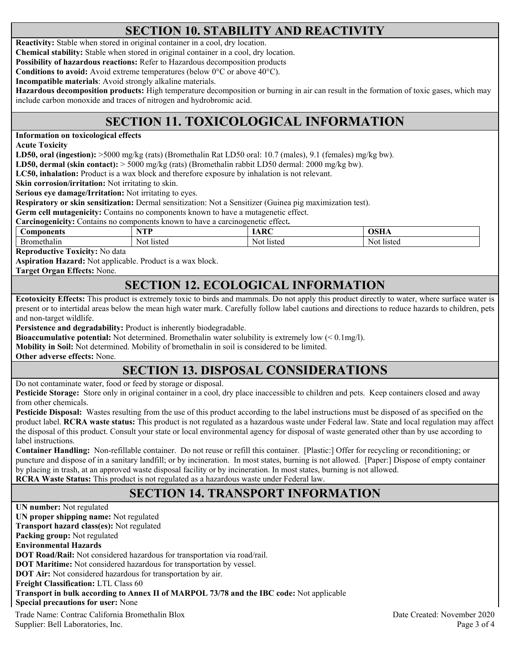### **SECTION 10. STABILITY AND REACTIVITY**

**Reactivity:** Stable when stored in original container in a cool, dry location.

**Chemical stability:** Stable when stored in original container in a cool, dry location.

**Possibility of hazardous reactions:** Refer to Hazardous decomposition products

**Conditions to avoid:** Avoid extreme temperatures (below 0°C or above 40°C).

**Incompatible materials**: Avoid strongly alkaline materials.

**Hazardous decomposition products:** High temperature decomposition or burning in air can result in the formation of toxic gases, which may include carbon monoxide and traces of nitrogen and hydrobromic acid.

## **SECTION 11. TOXICOLOGICAL INFORMATION**

**Information on toxicological effects** 

**Acute Toxicity** 

**LD50, oral (ingestion):** >5000 mg/kg (rats) (Bromethalin Rat LD50 oral: 10.7 (males), 9.1 (females) mg/kg bw).

**LD50, dermal (skin contact):** > 5000 mg/kg (rats) (Bromethalin rabbit LD50 dermal: 2000 mg/kg bw).

**LC50, inhalation:** Product is a wax block and therefore exposure by inhalation is not relevant.

**Skin corrosion/irritation:** Not irritating to skin.

**Serious eye damage/Irritation:** Not irritating to eyes.

**Respiratory or skin sensitization:** Dermal sensitization: Not a Sensitizer (Guinea pig maximization test).

**Germ cell mutagenicity:** Contains no components known to have a mutagenetic effect.

**Carcinogenicity:** Contains no components known to have a carcinogenetic effect**.** 

| <b>Components</b> | NTD.<br>. . | $\mathbf{r}$ | OSHA   |
|-------------------|-------------|--------------|--------|
| methalin          | listed      | Not          | listed |
|                   | NOL         | listed       | NOL.   |

**Reproductive Toxicity:** No data

**Aspiration Hazard:** Not applicable. Product is a wax block.

**Target Organ Effects:** None.

#### **SECTION 12. ECOLOGICAL INFORMATION**

**Ecotoxicity Effects:** This product is extremely toxic to birds and mammals. Do not apply this product directly to water, where surface water is present or to intertidal areas below the mean high water mark. Carefully follow label cautions and directions to reduce hazards to children, pets and non-target wildlife.

**Persistence and degradability:** Product is inherently biodegradable.

**Bioaccumulative potential:** Not determined. Bromethalin water solubility is extremely low (< 0.1mg/l).

**Mobility in Soil:** Not determined. Mobility of bromethalin in soil is considered to be limited.

**Other adverse effects:** None.

### **SECTION 13. DISPOSAL CONSIDERATIONS**

Do not contaminate water, food or feed by storage or disposal.

**Pesticide Storage:** Store only in original container in a cool, dry place inaccessible to children and pets. Keep containers closed and away from other chemicals.

**Pesticide Disposal:** Wastes resulting from the use of this product according to the label instructions must be disposed of as specified on the product label. **RCRA waste status:** This product is not regulated as a hazardous waste under Federal law. State and local regulation may affect the disposal of this product. Consult your state or local environmental agency for disposal of waste generated other than by use according to label instructions.

**Container Handling:** Non-refillable container. Do not reuse or refill this container. [Plastic:] Offer for recycling or reconditioning; or puncture and dispose of in a sanitary landfill; or by incineration. In most states, burning is not allowed. [Paper:] Dispose of empty container by placing in trash, at an approved waste disposal facility or by incineration. In most states, burning is not allowed. **RCRA Waste Status:** This product is not regulated as a hazardous waste under Federal law.

### **SECTION 14. TRANSPORT INFORMATION**

Trade Name: Contrac California Bromethalin Blox Date Created: November 2020 **UN number:** Not regulated **UN proper shipping name:** Not regulated **Transport hazard class(es):** Not regulated **Packing group:** Not regulated **Environmental Hazards DOT Road/Rail:** Not considered hazardous for transportation via road/rail. **DOT Maritime:** Not considered hazardous for transportation by vessel. **DOT Air:** Not considered hazardous for transportation by air. **Freight Classification:** LTL Class 60 **Transport in bulk according to Annex II of MARPOL 73/78 and the IBC code:** Not applicable **Special precautions for user:** None

Supplier: Bell Laboratories, Inc. 2008 and 2008 and 2008 and 2008 and 2008 and 2008 and 2008 and 2008 and 2008 and 2008 and 2008 and 2008 and 2008 and 2008 and 2008 and 2008 and 2008 and 2008 and 2008 and 2008 and 2008 and